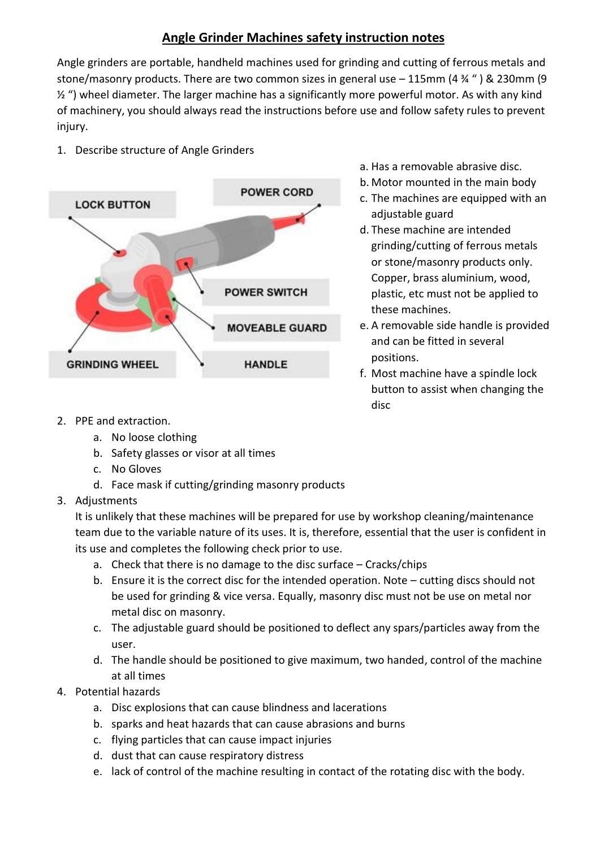## **Angle Grinder Machines safety instruction notes**

Angle grinders are portable, handheld machines used for grinding and cutting of ferrous metals and stone/masonry products. There are two common sizes in general use – 115mm (4 ¾ " ) & 230mm (9 ½ ") wheel diameter. The larger machine has a significantly more powerful motor. As with any kind of machinery, you should always read the instructions before use and follow safety rules to prevent injury.

1. Describe structure of Angle Grinders



- a. Has a removable abrasive disc.
- b. Motor mounted in the main body
- c. The machines are equipped with an adjustable guard
- d. These machine are intended grinding/cutting of ferrous metals or stone/masonry products only. Copper, brass aluminium, wood, plastic, etc must not be applied to these machines.
- e. A removable side handle is provided and can be fitted in several positions.
- f. Most machine have a spindle lock button to assist when changing the disc

- 2. PPE and extraction.
	- a. No loose clothing
	- b. Safety glasses or visor at all times
	- c. No Gloves
	- d. Face mask if cutting/grinding masonry products
- 3. Adjustments

It is unlikely that these machines will be prepared for use by workshop cleaning/maintenance team due to the variable nature of its uses. It is, therefore, essential that the user is confident in its use and completes the following check prior to use.

- a. Check that there is no damage to the disc surface Cracks/chips
- b. Ensure it is the correct disc for the intended operation. Note cutting discs should not be used for grinding & vice versa. Equally, masonry disc must not be use on metal nor metal disc on masonry.
- c. The adjustable guard should be positioned to deflect any spars/particles away from the user.
- d. The handle should be positioned to give maximum, two handed, control of the machine at all times
- 4. Potential hazards
	- a. Disc explosions that can cause blindness and lacerations
	- b. sparks and heat hazards that can cause abrasions and burns
	- c. flying particles that can cause impact injuries
	- d. dust that can cause respiratory distress
	- e. lack of control of the machine resulting in contact of the rotating disc with the body.